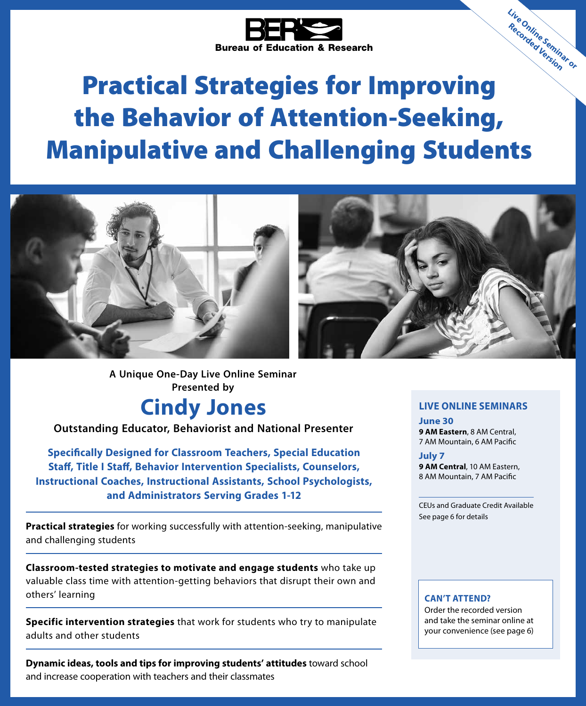

# Practical Strategies for Improving the Behavior of Attention-Seeking, Manipulative and Challenging Students



**A Unique One-Day Live Online Seminar Presented by**

## **Cindy Jones**

**Outstanding Educator, Behaviorist and National Presenter**

**Specifically Designed for Classroom Teachers, Special Education Staff, Title I Staff, Behavior Intervention Specialists, Counselors, Instructional Coaches, Instructional Assistants, School Psychologists, and Administrators Serving Grades 1-12**

**Practical strategies** for working successfully with attention-seeking, manipulative and challenging students

**Classroom-tested strategies to motivate and engage students** who take up valuable class time with attention-getting behaviors that disrupt their own and others' learning

**Specific intervention strategies** that work for students who try to manipulate adults and other students

**Dynamic ideas, tools and tips for improving students' attitudes** toward school and increase cooperation with teachers and their classmates

### **LIVE ONLINE SEMINARS**

**Live Online Seminar or Recorded Version**

**June 30 9 AM Eastern**, 8 AM Central, 7 AM Mountain, 6 AM Pacific

**July 7 9 AM Central**, 10 AM Eastern, 8 AM Mountain, 7 AM Pacific

CEUs and Graduate Credit Available See page 6 for details

#### **CAN'T ATTEND?**

Order the recorded version and take the seminar online at your convenience (see page 6)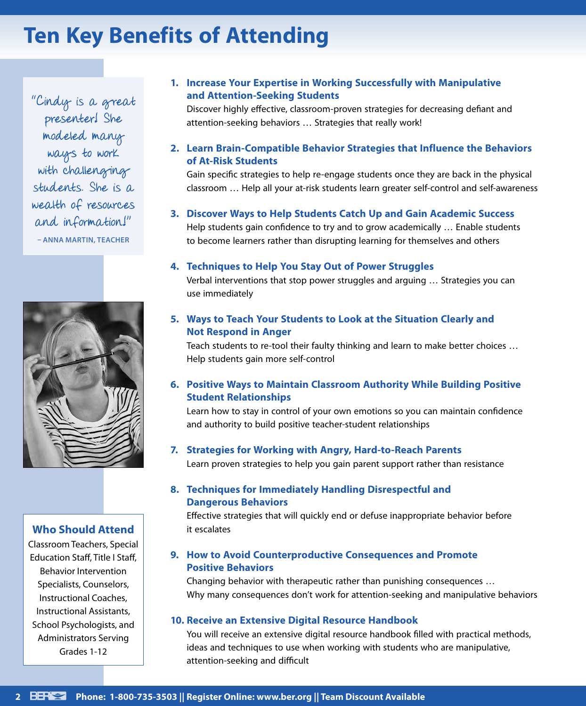## **Ten Key Benefits of Attending**

"Cindy is a great presenter! She modeled many ways to work with challenging students. She is a wealth of resources and information!" **– ANNA MARTIN, TEACHER**



### **Who Should Attend**

Classroom Teachers, Special Education Staff, Title I Staff, Behavior Intervention Specialists, Counselors, Instructional Coaches, Instructional Assistants, School Psychologists, and Administrators Serving Grades 1-12

### **1. Increase Your Expertise in Working Successfully with Manipulative and Attention-Seeking Students**

Discover highly effective, classroom-proven strategies for decreasing defiant and attention-seeking behaviors … Strategies that really work!

### **2. Learn Brain-Compatible Behavior Strategies that Influence the Behaviors of At-Risk Students**

Gain specific strategies to help re-engage students once they are back in the physical classroom … Help all your at-risk students learn greater self-control and self-awareness

### **3. Discover Ways to Help Students Catch Up and Gain Academic Success**

Help students gain confidence to try and to grow academically … Enable students to become learners rather than disrupting learning for themselves and others

#### **4. Techniques to Help You Stay Out of Power Struggles**

Verbal interventions that stop power struggles and arguing … Strategies you can use immediately

### **5. Ways to Teach Your Students to Look at the Situation Clearly and Not Respond in Anger**

Teach students to re-tool their faulty thinking and learn to make better choices … Help students gain more self-control

### **6. Positive Ways to Maintain Classroom Authority While Building Positive Student Relationships**

Learn how to stay in control of your own emotions so you can maintain confidence and authority to build positive teacher-student relationships

#### **7. Strategies for Working with Angry, Hard-to-Reach Parents**

Learn proven strategies to help you gain parent support rather than resistance

### **8. Techniques for Immediately Handling Disrespectful and Dangerous Behaviors**

Effective strategies that will quickly end or defuse inappropriate behavior before it escalates

### **9. How to Avoid Counterproductive Consequences and Promote Positive Behaviors**

Changing behavior with therapeutic rather than punishing consequences … Why many consequences don't work for attention-seeking and manipulative behaviors

### **10. Receive an Extensive Digital Resource Handbook**

You will receive an extensive digital resource handbook filled with practical methods, ideas and techniques to use when working with students who are manipulative, attention-seeking and difficult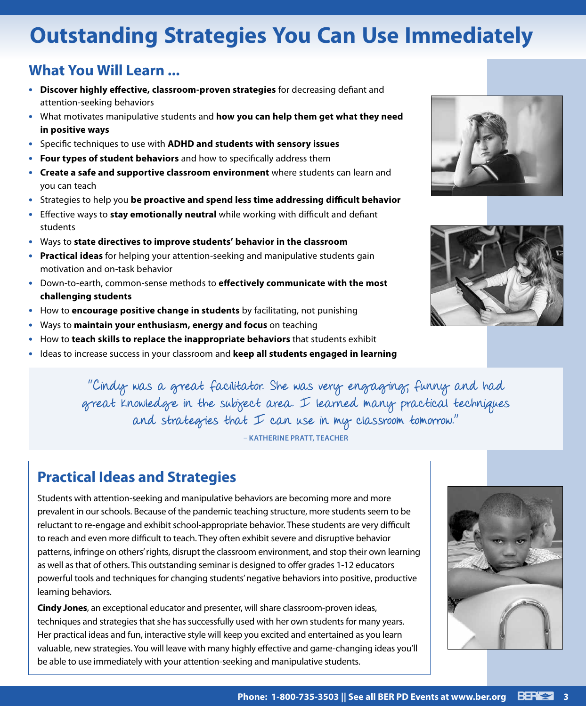## **Outstanding Strategies You Can Use Immediately**

### **What You Will Learn ...**

- **• Discover highly effective, classroom-proven strategies** for decreasing defiant and attention-seeking behaviors
- **•** What motivates manipulative students and **how you can help them get what they need in positive ways**
- **•** Specific techniques to use with **ADHD and students with sensory issues**
- **• Four types of student behaviors** and how to specifically address them
- **• Create a safe and supportive classroom environment** where students can learn and you can teach
- **•** Strategies to help you **be proactive and spend less time addressing difficult behavior**
- **•** Effective ways to **stay emotionally neutral** while working with difficult and defiant students
- **•** Ways to **state directives to improve students' behavior in the classroom**
- **• Practical ideas** for helping your attention-seeking and manipulative students gain motivation and on-task behavior
- **•** Down-to-earth, common-sense methods to **effectively communicate with the most challenging students**
- **•** How to **encourage positive change in students** by facilitating, not punishing
- **•** Ways to **maintain your enthusiasm, energy and focus** on teaching
- **•** How to **teach skills to replace the inappropriate behaviors** that students exhibit
- **•** Ideas to increase success in your classroom and **keep all students engaged in learning**





"Cindy was a great facilitator. She was very engaging, funny and had great knowledge in the subject area. I learned many practical techniques and strategies that  $I$  can use in my classroom tomorrow."

**– KATHERINE PRATT, TEACHER**

### **Practical Ideas and Strategies**

Students with attention-seeking and manipulative behaviors are becoming more and more prevalent in our schools. Because of the pandemic teaching structure, more students seem to be reluctant to re-engage and exhibit school-appropriate behavior. These students are very difficult to reach and even more difficult to teach. They often exhibit severe and disruptive behavior patterns, infringe on others' rights, disrupt the classroom environment, and stop their own learning as well as that of others. This outstanding seminar is designed to offer grades 1-12 educators powerful tools and techniques for changing students' negative behaviors into positive, productive learning behaviors.

**Cindy Jones**, an exceptional educator and presenter, will share classroom-proven ideas, techniques and strategies that she has successfully used with her own students for many years. Her practical ideas and fun, interactive style will keep you excited and entertained as you learn valuable, new strategies. You will leave with many highly effective and game-changing ideas you'll be able to use immediately with your attention-seeking and manipulative students.

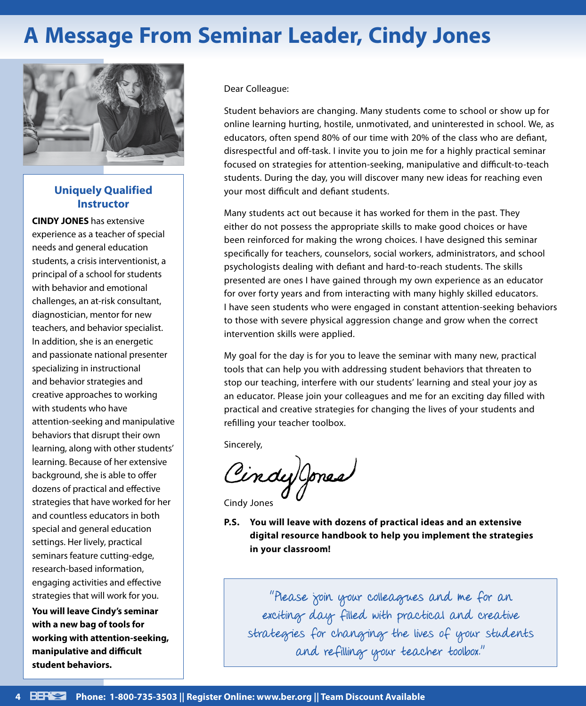## **A Message From Seminar Leader, Cindy Jones**



### **Uniquely Qualified Instructor**

**CINDY JONES** has extensive experience as a teacher of special needs and general education students, a crisis interventionist, a principal of a school for students with behavior and emotional challenges, an at-risk consultant, diagnostician, mentor for new teachers, and behavior specialist. In addition, she is an energetic and passionate national presenter specializing in instructional and behavior strategies and creative approaches to working with students who have attention-seeking and manipulative behaviors that disrupt their own learning, along with other students' learning. Because of her extensive background, she is able to offer dozens of practical and effective strategies that have worked for her and countless educators in both special and general education settings. Her lively, practical seminars feature cutting-edge, research-based information, engaging activities and effective strategies that will work for you.

**You will leave Cindy's seminar with a new bag of tools for working with attention-seeking, manipulative and difficult student behaviors.**

Dear Colleague:

Student behaviors are changing. Many students come to school or show up for online learning hurting, hostile, unmotivated, and uninterested in school. We, as educators, often spend 80% of our time with 20% of the class who are defiant, disrespectful and off-task. I invite you to join me for a highly practical seminar focused on strategies for attention-seeking, manipulative and difficult-to-teach students. During the day, you will discover many new ideas for reaching even your most difficult and defiant students.

Many students act out because it has worked for them in the past. They either do not possess the appropriate skills to make good choices or have been reinforced for making the wrong choices. I have designed this seminar specifically for teachers, counselors, social workers, administrators, and school psychologists dealing with defiant and hard-to-reach students. The skills presented are ones I have gained through my own experience as an educator for over forty years and from interacting with many highly skilled educators. I have seen students who were engaged in constant attention-seeking behaviors to those with severe physical aggression change and grow when the correct intervention skills were applied.

My goal for the day is for you to leave the seminar with many new, practical tools that can help you with addressing student behaviors that threaten to stop our teaching, interfere with our students' learning and steal your joy as an educator. Please join your colleagues and me for an exciting day filled with practical and creative strategies for changing the lives of your students and refilling your teacher toolbox.

Sincerely,

Cindy Jones

Cindy Jones

**P.S. You will leave with dozens of practical ideas and an extensive digital resource handbook to help you implement the strategies in your classroom!**

"Please join your colleagues and me for an exciting day filled with practical and creative strategies for changing the lives of your students and refilling your teacher toolbox."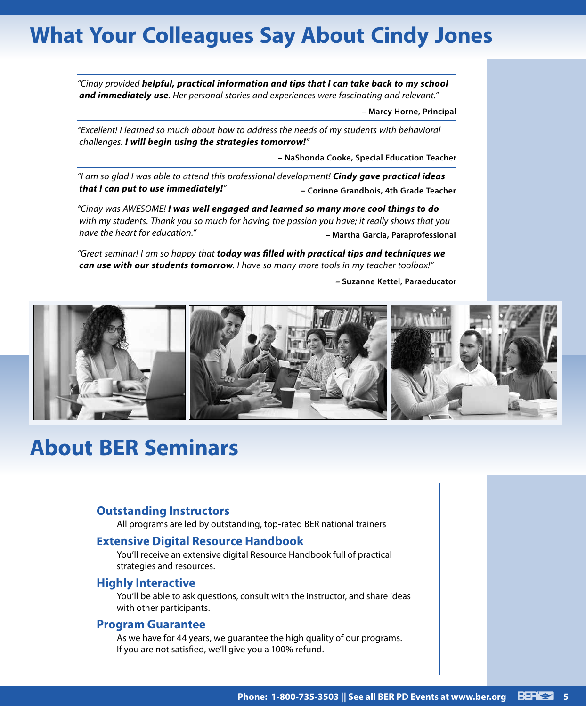## **What Your Colleagues Say About Cindy Jones**

*"Cindy provided helpful, practical information and tips that I can take back to my school and immediately use. Her personal stories and experiences were fascinating and relevant."*

**– Marcy Horne, Principal**

*"Excellent! I learned so much about how to address the needs of my students with behavioral challenges. I will begin using the strategies tomorrow!"*

**– NaShonda Cooke, Special Education Teacher**

*"I am so glad I was able to attend this professional development! Cindy gave practical ideas that I can put to use immediately!" –* **Corinne Grandbois, 4th Grade Teacher**

*"Cindy was AWESOME! I was well engaged and learned so many more cool things to do with my students. Thank you so much for having the passion you have; it really shows that you have the heart for education." –* **Martha Garcia, Paraprofessional**

*"Great seminar! I am so happy that today was filled with practical tips and techniques we can use with our students tomorrow. I have so many more tools in my teacher toolbox!"*

*–* **Suzanne Kettel, Paraeducator**



## **About BER Seminars**

### **Outstanding Instructors**

All programs are led by outstanding, top-rated BER national trainers

### **Extensive Digital Resource Handbook**

You'll receive an extensive digital Resource Handbook full of practical strategies and resources.

#### **Highly Interactive**

You'll be able to ask questions, consult with the instructor, and share ideas with other participants.

#### **Program Guarantee**

As we have for 44 years, we guarantee the high quality of our programs. If you are not satisfied, we'll give you a 100% refund.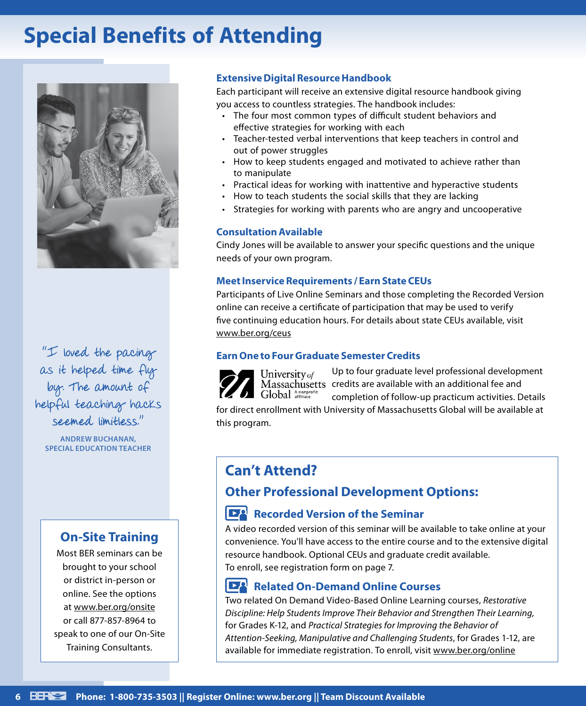## **Special Benefits of Attending**



"I loved the pacing as it helped time fly by. The amount of helpful teaching hacks seemed limitless."

**ANDREW BUCHANAN, SPECIAL EDUCATION TEACHER**

### **On-Site Training**

Most BER seminars can be brought to your school or district in-person or online. See the options at www.ber.org/onsite or call 877-857-8964 to speak to one of our On-Site Training Consultants.

### **Extensive Digital Resource Handbook**

Each participant will receive an extensive digital resource handbook giving you access to countless strategies. The handbook includes:

- The four most common types of difficult student behaviors and effective strategies for working with each
- Teacher-tested verbal interventions that keep teachers in control and out of power struggles
- How to keep students engaged and motivated to achieve rather than to manipulate
- Practical ideas for working with inattentive and hyperactive students
- How to teach students the social skills that they are lacking
- Strategies for working with parents who are angry and uncooperative

### **Consultation Available**

Cindy Jones will be available to answer your specific questions and the unique needs of your own program.

### **Meet Inservice Requirements / Earn State CEUs**

Participants of Live Online Seminars and those completing the Recorded Version online can receive a certificate of participation that may be used to verify five continuing education hours. For details about state CEUs available, visit www.ber.org/ceus

### **Earn One to Four Graduate Semester Credits**



University of Global Anonprofit

Up to four graduate level professional development Massachusetts credits are available with an additional fee and completion of follow-up practicum activities. Details

for direct enrollment with University of Massachusetts Global will be available at this program.

### **Can't Attend?**

### **Other Professional Development Options:**

### **Recorded Version of the Seminar**

A video recorded version of this seminar will be available to take online at your convenience. You'll have access to the entire course and to the extensive digital resource handbook. Optional CEUs and graduate credit available. To enroll, see registration form on page 7.

#### $\mathbf{E}$ **Related On-Demand Online Courses**

Two related On Demand Video-Based Online Learning courses, *Restorative Discipline: Help Students Improve Their Behavior and Strengthen Their Learning,* for Grades K-12, and *Practical Strategies for Improving the Behavior of Attention-Seeking, Manipulative and Challenging Students*, for Grades 1-12, are available for immediate registration. To enroll, visit www.ber.org/online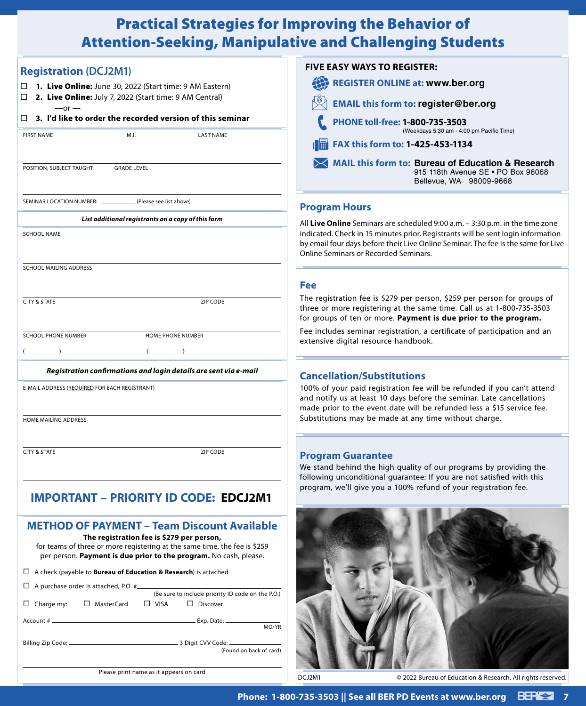### Practical Strategies for Improving the Behavior of Attention-Seeking, Manipulative and Challenging Students

| <b>Registration (DCJ2M1)</b>                                                                                                                   | <b>FIVE EASY WAYS TO REGISTER:</b>                                                                                                                                                                                         |
|------------------------------------------------------------------------------------------------------------------------------------------------|----------------------------------------------------------------------------------------------------------------------------------------------------------------------------------------------------------------------------|
| 1. Live Online: June 30, 2022 (Start time: 9 AM Eastern)                                                                                       | <b>REGISTER ONLINE at: www.ber.org</b>                                                                                                                                                                                     |
| 2. Live Online: July 7, 2022 (Start time: 9 AM Central)<br>□                                                                                   | <b>EMAIL this form to: register@ber.org</b>                                                                                                                                                                                |
| $-$ or $-$<br>3. I'd like to order the recorded version of this seminar<br>□                                                                   | PHONE toll-free: 1-800-735-3503                                                                                                                                                                                            |
| <b>FIRST NAME</b><br>M.I.<br><b>LAST NAME</b>                                                                                                  | (Weekdays 5:30 am - 4:00 pm Pacific Time)                                                                                                                                                                                  |
|                                                                                                                                                | <b>FAX this form to: 1-425-453-1134</b>                                                                                                                                                                                    |
| POSITION, SUBJECT TAUGHT<br><b>GRADE LEVEL</b>                                                                                                 | MAIL this form to: Bureau of Education & Research<br>915 118th Avenue SE . PO Box 96068<br>Bellevue, WA 98009-9668                                                                                                         |
| SEMINAR LOCATION NUMBER: _______________ (Please see list above)                                                                               | <b>Program Hours</b>                                                                                                                                                                                                       |
| List additional registrants on a copy of this form                                                                                             | All Live Online Seminars are scheduled 9:00 a.m. - 3:30 p.m. in the time zone                                                                                                                                              |
| <b>SCHOOL NAME</b>                                                                                                                             | indicated. Check in 15 minutes prior. Registrants will be sent login information<br>by email four days before their Live Online Seminar. The fee is the same for Live<br><b>Online Seminars or Recorded Seminars.</b>      |
| SCHOOL MAILING ADDRESS                                                                                                                         |                                                                                                                                                                                                                            |
|                                                                                                                                                | <b>Fee</b>                                                                                                                                                                                                                 |
| <b>CITY &amp; STATE</b><br>ZIP CODE                                                                                                            | The registration fee is \$279 per person, \$259 per person for groups of<br>three or more registering at the same time. Call us at 1-800-735-3503<br>for groups of ten or more. Payment is due prior to the program.       |
| <b>SCHOOL PHONE NUMBER</b><br>HOME PHONE NUMBER                                                                                                | Fee includes seminar registration, a certificate of participation and an                                                                                                                                                   |
| $\lambda$<br>$\lambda$                                                                                                                         | extensive digital resource handbook.                                                                                                                                                                                       |
| Registration confirmations and login details are sent via e-mail                                                                               | <b>Cancellation/Substitutions</b>                                                                                                                                                                                          |
| E-MAIL ADDRESS (REQUIRED FOR EACH REGISTRANT)                                                                                                  | 100% of your paid registration fee will be refunded if you can't attend<br>and notify us at least 10 days before the seminar. Late cancellations<br>made prior to the event date will be refunded less a \$15 service fee. |
| <b>HOME MAILING ADDRESS</b>                                                                                                                    | Substitutions may be made at any time without charge.                                                                                                                                                                      |
| <b>CITY &amp; STATE</b><br>ZIP CODE                                                                                                            |                                                                                                                                                                                                                            |
|                                                                                                                                                | <b>Program Guarantee</b><br>We stand behind the high quality of our programs by providing the                                                                                                                              |
|                                                                                                                                                | following unconditional guarantee: If you are not satisfied with this                                                                                                                                                      |
| <b>IMPORTANT - PRIORITY ID CODE: EDCJ2M1</b>                                                                                                   | program, we'll give you a 100% refund of your registration fee.                                                                                                                                                            |
| <b>METHOD OF PAYMENT - Team Discount Available</b><br>The registration fee is \$279 per person,                                                |                                                                                                                                                                                                                            |
| for teams of three or more registering at the same time, the fee is \$259<br>per person. Payment is due prior to the program. No cash, please. |                                                                                                                                                                                                                            |
| $\Box$ A check (payable to <b>Bureau of Education &amp; Research</b> ) is attached                                                             |                                                                                                                                                                                                                            |
| $\Box$ A purchase order is attached, P.O. #<br>(Be sure to include priority ID code on the P.O.)                                               |                                                                                                                                                                                                                            |
| $\Box$ Charge my:<br>□ MasterCard<br>$\Box$ VISA<br>$\Box$ Discover                                                                            |                                                                                                                                                                                                                            |
|                                                                                                                                                |                                                                                                                                                                                                                            |
| MO/YR                                                                                                                                          |                                                                                                                                                                                                                            |
| (Found on back of card)                                                                                                                        |                                                                                                                                                                                                                            |
|                                                                                                                                                |                                                                                                                                                                                                                            |

Please print name as it appears on card

DCJ2M1 © 2022 Bureau of Education & Research. All rights reserved.